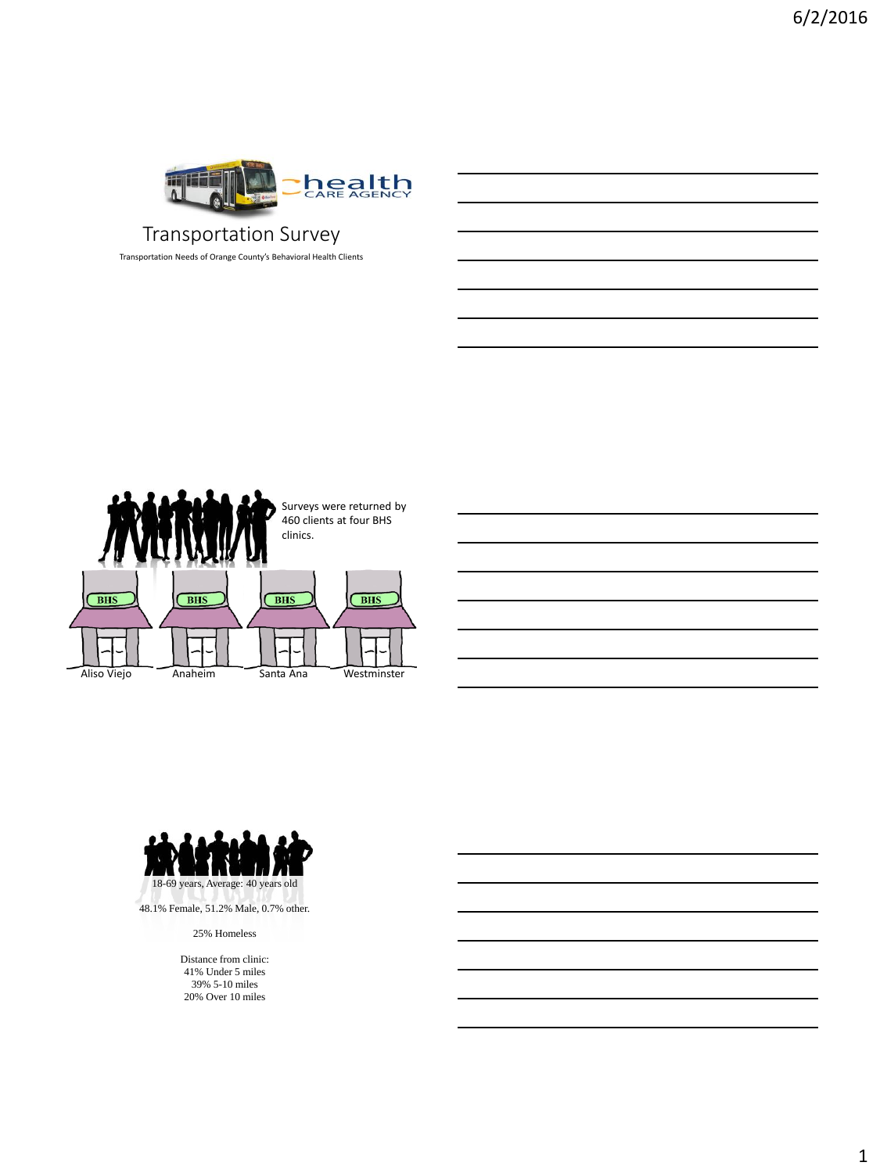

## Transportation Survey

Transportation Needs of Orange County's Behavioral Health Clients





25% Homeless

Distance from clinic: 41% Under 5 miles 39% 5-10 miles 20% Over 10 miles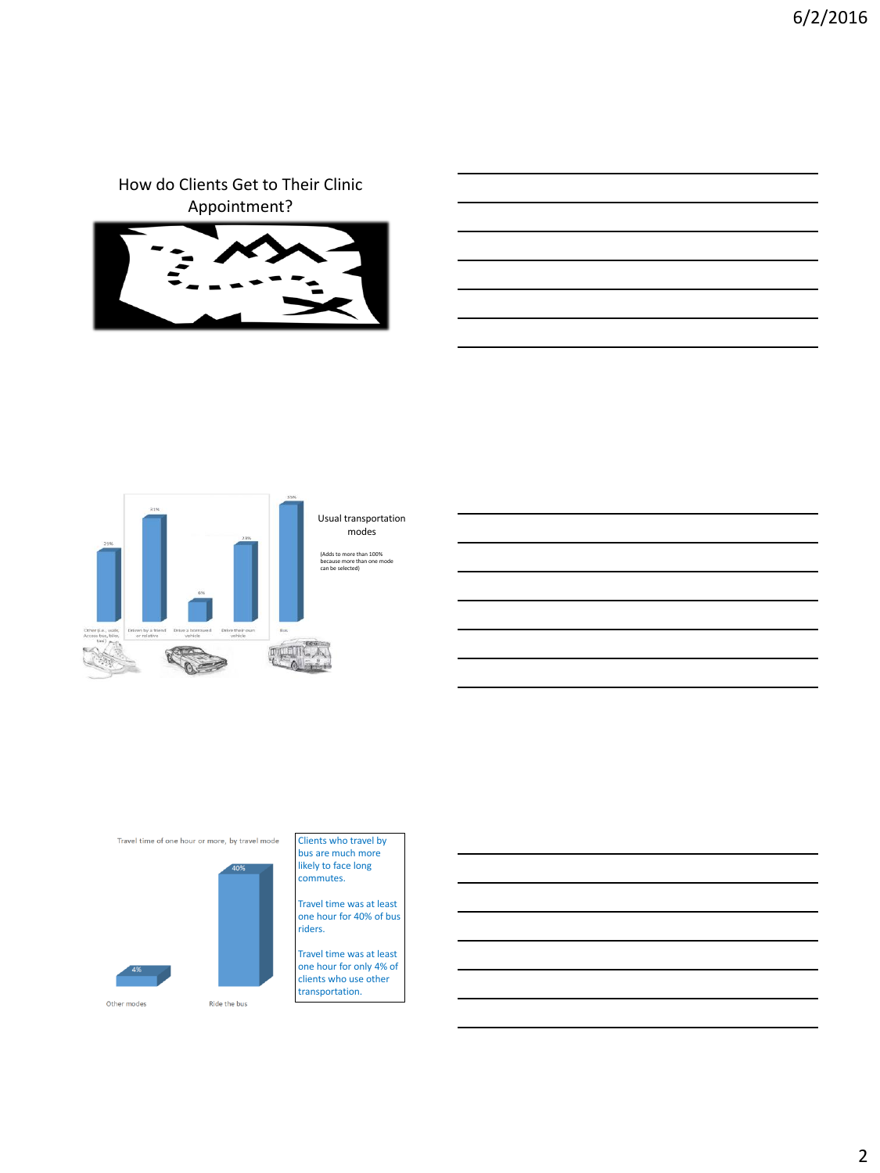How do Clients Get to Their Clinic Appointment?





#### Usual transportation modes

(Adds to more than 100% because more than one mode can be selected)

Travel time of one hour or more, by travel mode



#### Clients who travel by bus are much more likely to face long commutes.

Travel time was at least one hour for 40% of bus riders.

Travel time was at least one hour for only 4% of clients who use other transportation.

Other modes

Ride the bus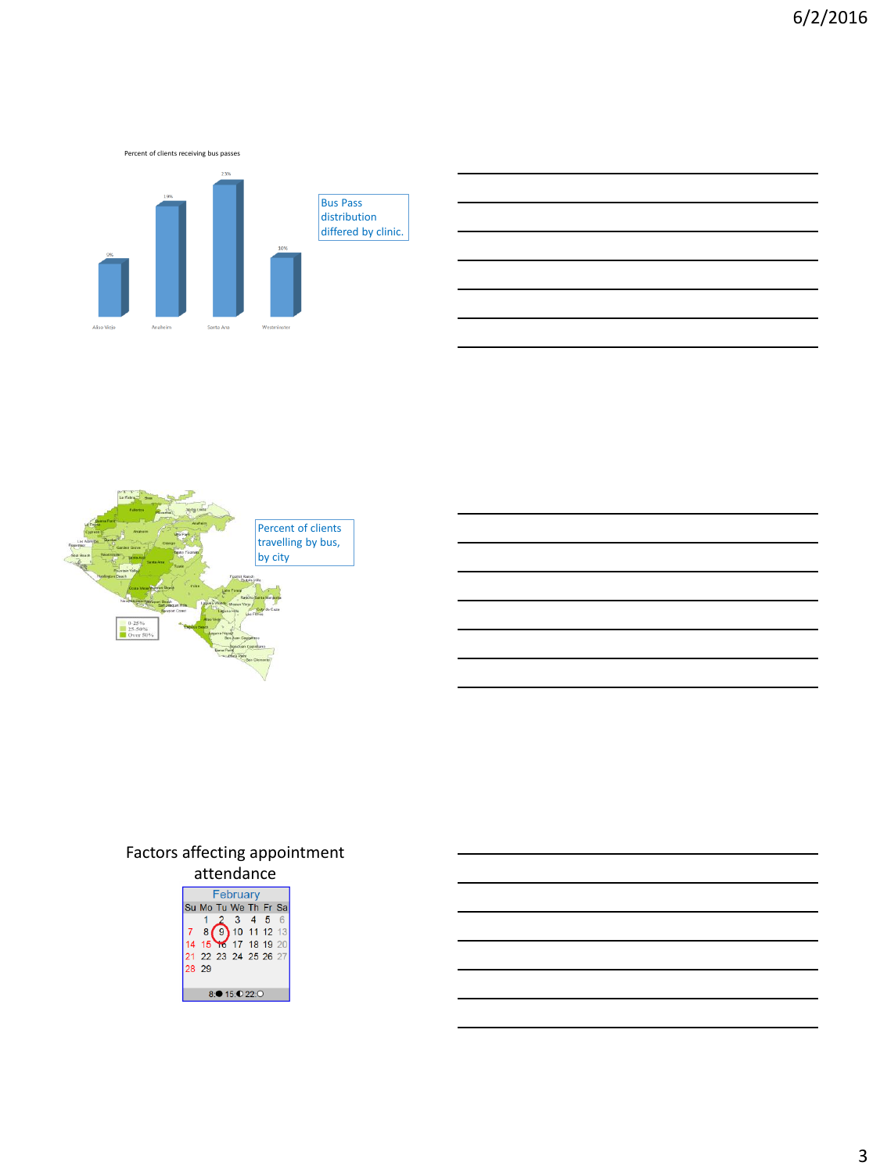Percent of clients receiving bus passes Bus Pass distribution differed by clinic. Santa Ana



# Factors affecting appointment



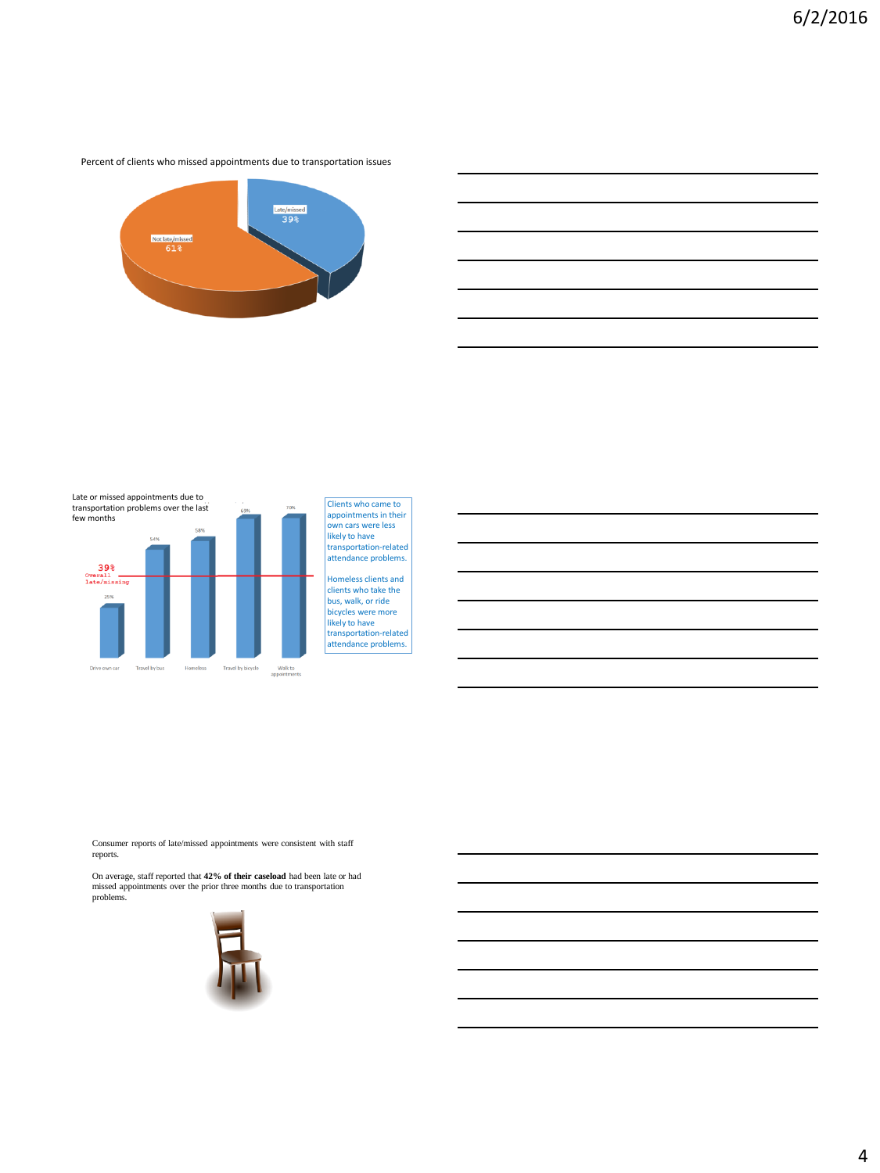Percent of clients who missed appointments due to transportation issues





Clients who came to appointments in their own cars were less likely to have transportation-related attendance problems. Homeless clients and

clients who take the bus, walk, or ride bicycles were more likely to have transportation-related attendance problems.

Consumer reports of late/missed appointments were consistent with staff reports.

On average, staff reported that **42% of their caseload** had been late or had missed appointments over the prior three months due to transportation problems.

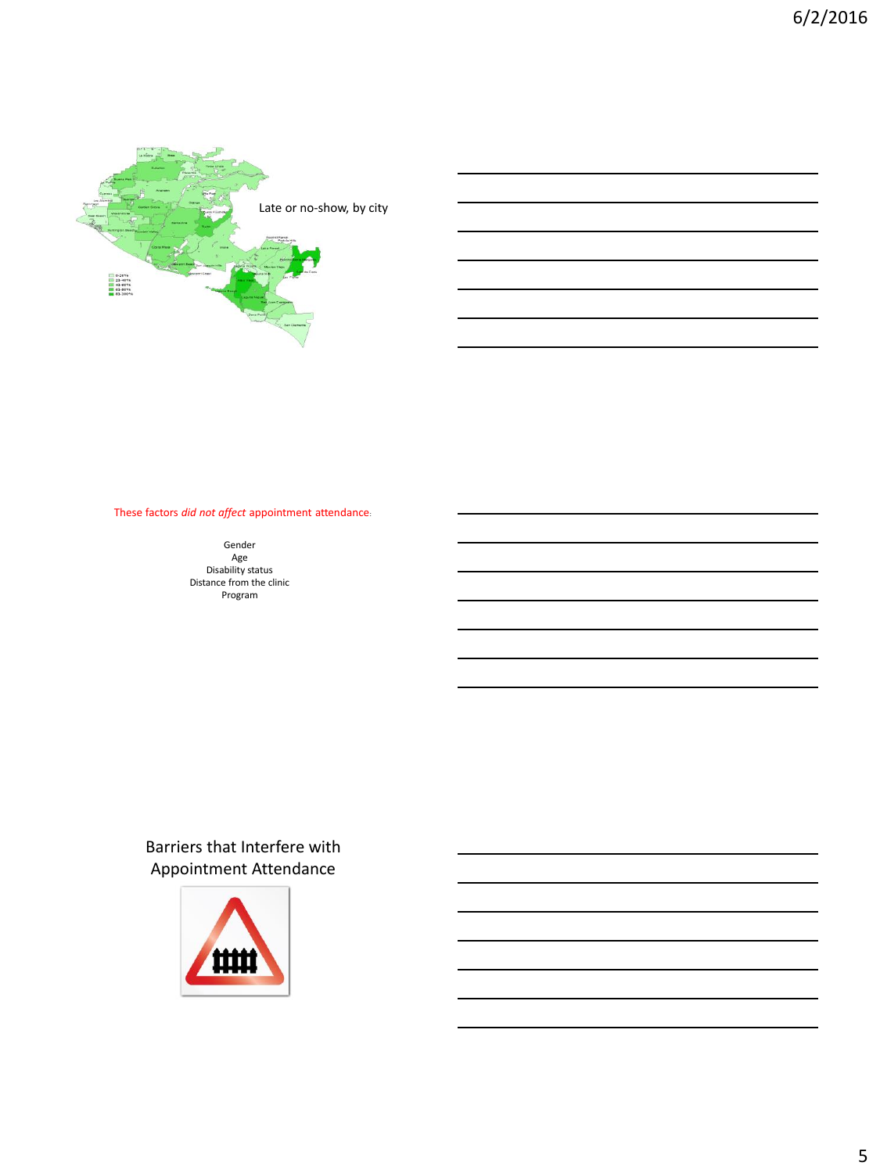

These factors *did not affect* appointment attendance:

Gender Age Disability status Distance from the clinic Program

### Barrie[rs that Inte](http://www.google.com/url?sa=i&rct=j&q=&esrc=s&source=images&cd=&cad=rja&uact=8&ved=0ahUKEwjG8KiD1tTLAhVHthoKHaMvDKwQjRwIBw&url=http://uxrepo.com/icon/road-barrier-by-ocha&psig=AFQjCNGovMkoa9LPpP7FyckrC0URDjD6Ug&ust=1458749089012737)rfere with Appointment Attendance

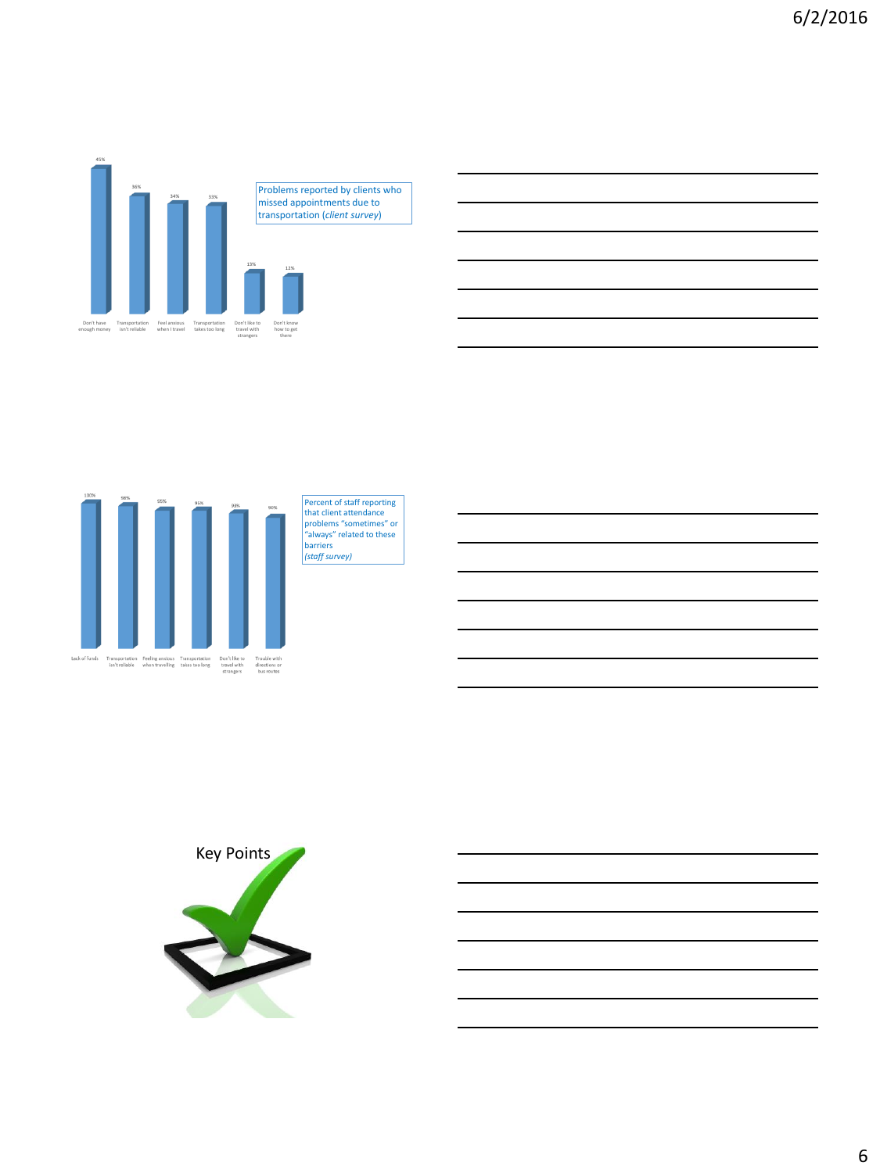

missed appointments due to transportation (*client survey*)



Percent of staff reporting that client attendance problems "sometimes" or "always" related to these barriers *(staff survey)*

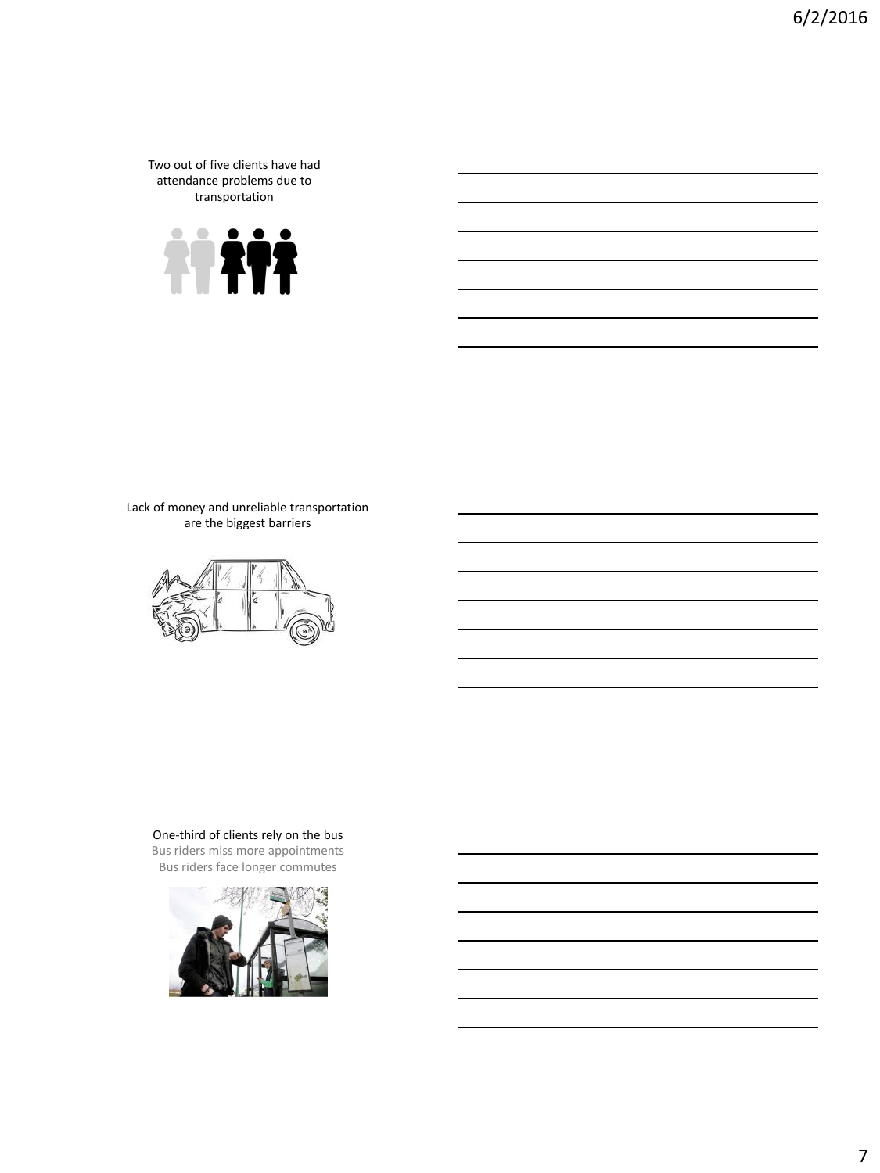Two out of five clients have had attendance problems due to transportation



Lack of money and unreliable transportation are the biggest barriers



One-third of clients rely on the bus Bus riders miss more appointments

Bus riders face longer commutes